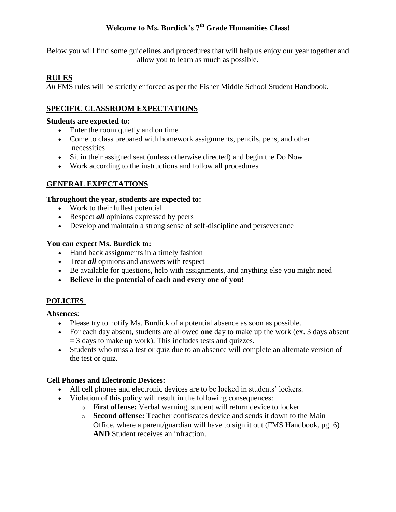Below you will find some guidelines and procedures that will help us enjoy our year together and allow you to learn as much as possible.

# **RULES**

All FMS rules will be strictly enforced as per the Fisher Middle School Student Handbook.

# **SPECIFIC CLASSROOM EXPECTATIONS**

### **Students are expected to:**

- Enter the room quietly and on time
- Come to class prepared with homework assignments, pencils, pens, and other necessities
- Sit in their assigned seat (unless otherwise directed) and begin the Do Now
- Work according to the instructions and follow all procedures

## **GENERAL EXPECTATIONS**

### **Throughout the year, students are expected to:**

- Work to their fullest potential
- Respect *all* opinions expressed by peers
- Develop and maintain a strong sense of self-discipline and perseverance

### **You can expect Ms. Burdick to:**

- Hand back assignments in a timely fashion
- Treat *all* opinions and answers with respect
- Be available for questions, help with assignments, and anything else you might need
- **Believe in the potential of each and every one of you!**

# **POLICIES**

### **Absences**:

- Please try to notify Ms. Burdick of a potential absence as soon as possible.
- For each day absent, students are allowed **one** day to make up the work (ex. 3 days absent  $=$  3 days to make up work). This includes tests and quizzes.
- Students who miss a test or quiz due to an absence will complete an alternate version of the test or quiz.

### **Cell Phones and Electronic Devices:**

- All cell phones and electronic devices are to be locked in students' lockers.
- Violation of this policy will result in the following consequences:
	- o **First offense:** Verbal warning, student will return device to locker
	- o **Second offense:** Teacher confiscates device and sends it down to the Main Office, where a parent/guardian will have to sign it out (FMS Handbook, pg. 6) **AND** Student receives an infraction.